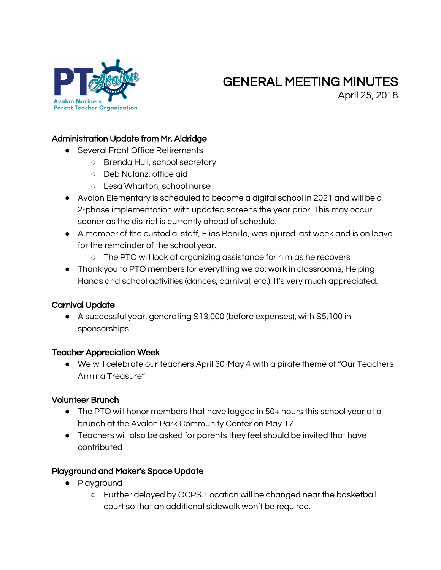

# GENERAL MEETING MINUTES

April 25, 2018

#### Administration Update from Mr. Aldridge

- Several Front Office Retirements
	- Brenda Hull, school secretary
	- Deb Nulanz, office aid
	- Lesa Wharton, school nurse
- Avalon Elementary is scheduled to become a digital school in 2021 and will be a 2-phase implementation with updated screens the year prior. This may occur sooner as the district is currently ahead of schedule.
- A member of the custodial staff, Elias Bonilla, was injured last week and is on leave for the remainder of the school year.
	- The PTO will look at organizing assistance for him as he recovers
- Thank you to PTO members for everything we do: work in classrooms, Helping Hands and school activities (dances, carnival, etc.). It's very much appreciated.

# Carnival Update

● A successful year, generating \$13,000 (before expenses), with \$5,100 in sponsorships

#### Teacher Appreciation Week

● We will celebrate our teachers April 30-May 4 with a pirate theme of "Our Teachers Arrrrr a Treasure"

#### Volunteer Brunch

- The PTO will honor members that have logged in 50+ hours this school year at a brunch at the Avalon Park Community Center on May 17
- Teachers will also be asked for parents they feel should be invited that have contributed

#### Playground and Maker's Space Update

- Playground
	- Further delayed by OCPS. Location will be changed near the basketball court so that an additional sidewalk won't be required.